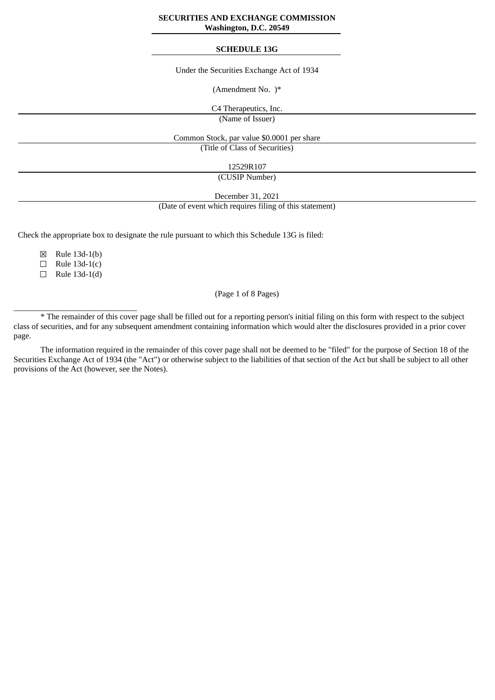## **SECURITIES AND EXCHANGE COMMISSION Washington, D.C. 20549**

## **SCHEDULE 13G**

Under the Securities Exchange Act of 1934

(Amendment No. )\*

C4 Therapeutics, Inc.

(Name of Issuer)

Common Stock, par value \$0.0001 per share

(Title of Class of Securities)

12529R107

(CUSIP Number)

December 31, 2021

(Date of event which requires filing of this statement)

Check the appropriate box to designate the rule pursuant to which this Schedule 13G is filed:

☒ Rule 13d-1(b)

 $\Box$  Rule 13d-1(c)

☐ Rule 13d-1(d)

 $\_$ 

(Page 1 of 8 Pages)

\* The remainder of this cover page shall be filled out for a reporting person's initial filing on this form with respect to the subject class of securities, and for any subsequent amendment containing information which would alter the disclosures provided in a prior cover page.

The information required in the remainder of this cover page shall not be deemed to be "filed" for the purpose of Section 18 of the Securities Exchange Act of 1934 (the "Act") or otherwise subject to the liabilities of that section of the Act but shall be subject to all other provisions of the Act (however, see the Notes).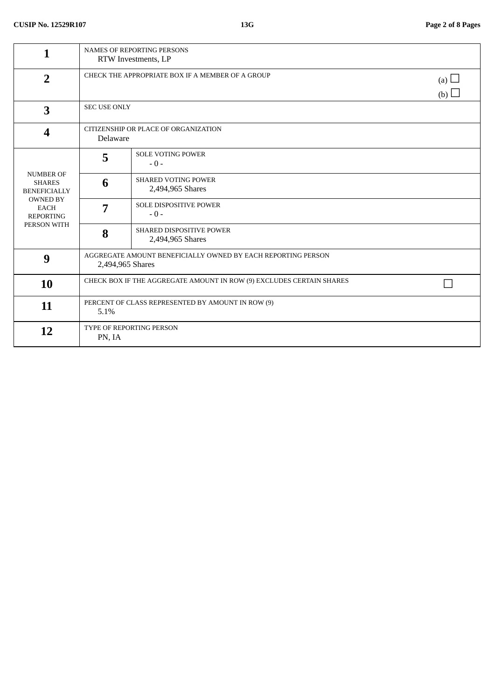| 1                                                                                                                             | NAMES OF REPORTING PERSONS<br>RTW Investments, LP                                |                                                |                          |
|-------------------------------------------------------------------------------------------------------------------------------|----------------------------------------------------------------------------------|------------------------------------------------|--------------------------|
| $\overline{2}$                                                                                                                | CHECK THE APPROPRIATE BOX IF A MEMBER OF A GROUP                                 |                                                | (a) $\Box$<br>(b) $\Box$ |
| $\overline{\mathbf{3}}$                                                                                                       | <b>SEC USE ONLY</b>                                                              |                                                |                          |
| $\boldsymbol{4}$                                                                                                              | CITIZENSHIP OR PLACE OF ORGANIZATION<br>Delaware                                 |                                                |                          |
| <b>NUMBER OF</b><br><b>SHARES</b><br><b>BENEFICIALLY</b><br><b>OWNED BY</b><br><b>EACH</b><br><b>REPORTING</b><br>PERSON WITH | 5                                                                                | <b>SOLE VOTING POWER</b><br>$-0-$              |                          |
|                                                                                                                               | 6                                                                                | <b>SHARED VOTING POWER</b><br>2,494,965 Shares |                          |
|                                                                                                                               | 7                                                                                | <b>SOLE DISPOSITIVE POWER</b><br>$-0-$         |                          |
|                                                                                                                               | 8                                                                                | SHARED DISPOSITIVE POWER<br>2,494,965 Shares   |                          |
| 9                                                                                                                             | AGGREGATE AMOUNT BENEFICIALLY OWNED BY EACH REPORTING PERSON<br>2,494,965 Shares |                                                |                          |
| 10                                                                                                                            | CHECK BOX IF THE AGGREGATE AMOUNT IN ROW (9) EXCLUDES CERTAIN SHARES             |                                                |                          |
| 11                                                                                                                            | PERCENT OF CLASS REPRESENTED BY AMOUNT IN ROW (9)<br>5.1%                        |                                                |                          |
| 12                                                                                                                            | TYPE OF REPORTING PERSON<br>PN, IA                                               |                                                |                          |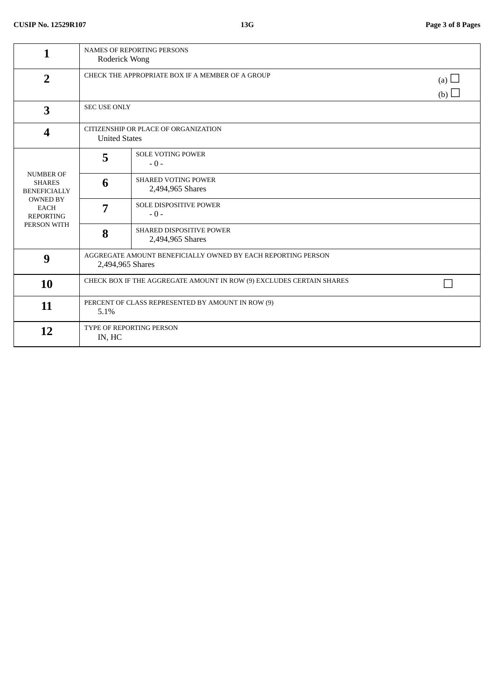| 1                                                                                                                             | <b>NAMES OF REPORTING PERSONS</b><br>Roderick Wong                               |                                                   |                          |
|-------------------------------------------------------------------------------------------------------------------------------|----------------------------------------------------------------------------------|---------------------------------------------------|--------------------------|
| $\overline{2}$                                                                                                                | CHECK THE APPROPRIATE BOX IF A MEMBER OF A GROUP                                 |                                                   | (a) $\Box$<br>(b) $\Box$ |
| $\overline{\mathbf{3}}$                                                                                                       | <b>SEC USE ONLY</b>                                                              |                                                   |                          |
| $\boldsymbol{4}$                                                                                                              | CITIZENSHIP OR PLACE OF ORGANIZATION<br><b>United States</b>                     |                                                   |                          |
| <b>NUMBER OF</b><br><b>SHARES</b><br><b>BENEFICIALLY</b><br><b>OWNED BY</b><br><b>EACH</b><br><b>REPORTING</b><br>PERSON WITH | 5                                                                                | <b>SOLE VOTING POWER</b><br>$-0-$                 |                          |
|                                                                                                                               | 6                                                                                | <b>SHARED VOTING POWER</b><br>2,494,965 Shares    |                          |
|                                                                                                                               | 7                                                                                | <b>SOLE DISPOSITIVE POWER</b><br>$-0-$            |                          |
|                                                                                                                               | 8                                                                                | SHARED DISPOSITIVE POWER<br>2,494,965 Shares      |                          |
| 9                                                                                                                             | AGGREGATE AMOUNT BENEFICIALLY OWNED BY EACH REPORTING PERSON<br>2,494,965 Shares |                                                   |                          |
| 10                                                                                                                            | CHECK BOX IF THE AGGREGATE AMOUNT IN ROW (9) EXCLUDES CERTAIN SHARES             |                                                   |                          |
| 11                                                                                                                            | 5.1%                                                                             | PERCENT OF CLASS REPRESENTED BY AMOUNT IN ROW (9) |                          |
| 12                                                                                                                            | TYPE OF REPORTING PERSON<br>IN, HC                                               |                                                   |                          |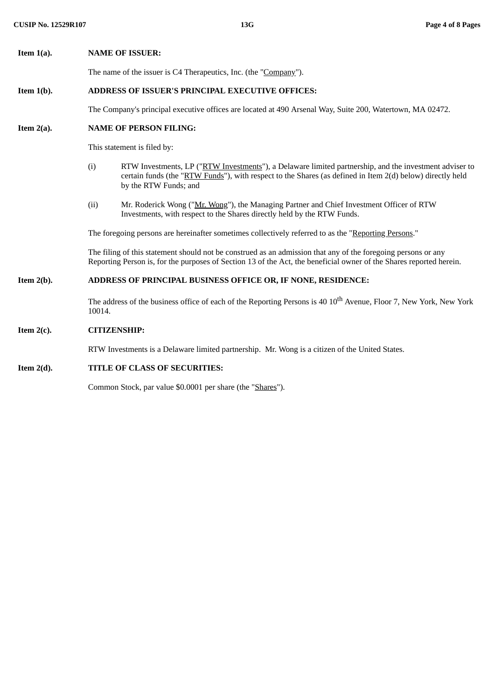| Item $1(a)$ . | <b>NAME OF ISSUER:</b>                                                                                                                                                                                                                              |  |
|---------------|-----------------------------------------------------------------------------------------------------------------------------------------------------------------------------------------------------------------------------------------------------|--|
|               | The name of the issuer is C4 Therapeutics, Inc. (the "Company").                                                                                                                                                                                    |  |
| Item $1(b)$ . | ADDRESS OF ISSUER'S PRINCIPAL EXECUTIVE OFFICES:                                                                                                                                                                                                    |  |
|               | The Company's principal executive offices are located at 490 Arsenal Way, Suite 200, Watertown, MA 02472.                                                                                                                                           |  |
| Item $2(a)$ . | <b>NAME OF PERSON FILING:</b>                                                                                                                                                                                                                       |  |
|               | This statement is filed by:                                                                                                                                                                                                                         |  |
|               | RTW Investments, LP ("RTW Investments"), a Delaware limited partnership, and the investment adviser to<br>(i)<br>certain funds (the "RTW Funds"), with respect to the Shares (as defined in Item 2(d) below) directly held<br>by the RTW Funds; and |  |
|               | Mr. Roderick Wong ("Mr. Wong"), the Managing Partner and Chief Investment Officer of RTW<br>(ii)<br>Investments, with respect to the Shares directly held by the RTW Funds.                                                                         |  |
|               | The foregoing persons are hereinafter sometimes collectively referred to as the "Reporting Persons."                                                                                                                                                |  |
|               | The filing of this statement should not be construed as an admission that any of the foregoing persons or any<br>Reporting Person is, for the purposes of Section 13 of the Act, the beneficial owner of the Shares reported herein.                |  |
| Item $2(b)$ . | ADDRESS OF PRINCIPAL BUSINESS OFFICE OR, IF NONE, RESIDENCE:                                                                                                                                                                                        |  |
|               | The address of the business office of each of the Reporting Persons is 40 10 <sup>th</sup> Avenue, Floor 7, New York, New York<br>10014.                                                                                                            |  |
| Item $2(c)$ . | <b>CITIZENSHIP:</b>                                                                                                                                                                                                                                 |  |
|               | RTW Investments is a Delaware limited partnership. Mr. Wong is a citizen of the United States.                                                                                                                                                      |  |
| Item $2(d)$ . | TITLE OF CLASS OF SECURITIES:                                                                                                                                                                                                                       |  |
|               | Common Stock, par value \$0.0001 per share (the "Shares").                                                                                                                                                                                          |  |
|               |                                                                                                                                                                                                                                                     |  |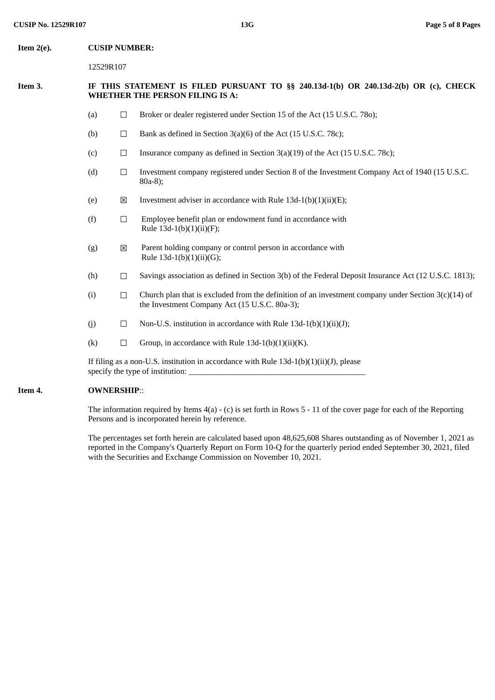**Item 2(e). CUSIP NUMBER:**

12529R107

# **Item 3. IF THIS STATEMENT IS FILED PURSUANT TO §§ 240.13d-1(b) OR 240.13d-2(b) OR (c), CHECK WHETHER THE PERSON FILING IS A:**

- (a) ☐ Broker or dealer registered under Section 15 of the Act (15 U.S.C. 78o);
- (b)  $\Box$  Bank as defined in Section 3(a)(6) of the Act (15 U.S.C. 78c);
- (c)  $\Box$  Insurance company as defined in Section 3(a)(19) of the Act (15 U.S.C. 78c);
- (d) ☐ Investment company registered under Section 8 of the Investment Company Act of 1940 (15 U.S.C. 80a-8);
- (e)  $\boxtimes$  Investment adviser in accordance with Rule 13d-1(b)(1)(ii)(E);
- $(f)$  Employee benefit plan or endowment fund in accordance with Rule  $13d-1(b)(1)(ii)(F)$ ;
- (g)  $\boxtimes$  Parent holding company or control person in accordance with Rule 13d-1(b)(1)(ii)(G);
- (h)  $\Box$  Savings association as defined in Section 3(b) of the Federal Deposit Insurance Act (12 U.S.C. 1813);
- (i)  $\Box$  Church plan that is excluded from the definition of an investment company under Section 3(c)(14) of the Investment Company Act (15 U.S.C. 80a-3);
- (i)  $\Box$  Non-U.S. institution in accordance with Rule 13d-1(b)(1)(ii)(J);
- (k)  $\Box$  Group, in accordance with Rule 13d-1(b)(1)(ii)(K).

If filing as a non-U.S. institution in accordance with Rule  $13d-1(b)(1)(ii)(J)$ , please specify the type of institution:

## **Item 4. OWNERSHIP**::

The information required by Items  $4(a) - (c)$  is set forth in Rows 5 - 11 of the cover page for each of the Reporting Persons and is incorporated herein by reference.

The percentages set forth herein are calculated based upon 48,625,608 Shares outstanding as of November 1, 2021 as reported in the Company's Quarterly Report on Form 10-Q for the quarterly period ended September 30, 2021, filed with the Securities and Exchange Commission on November 10, 2021.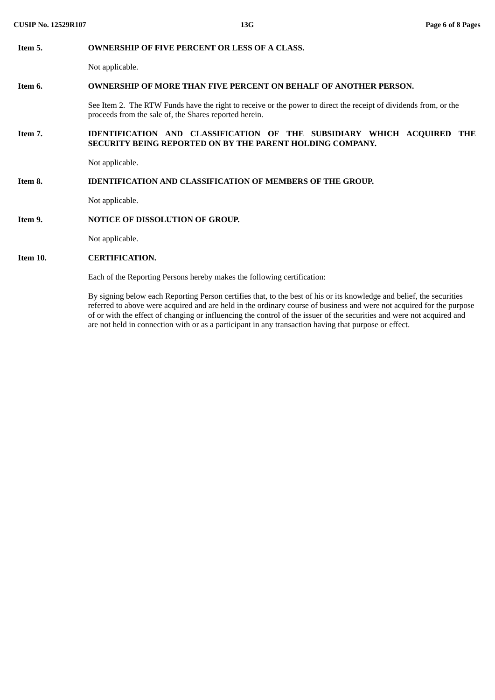| Item 5.  | <b>OWNERSHIP OF FIVE PERCENT OR LESS OF A CLASS.</b>                                                                                                                                                                                                                                                                                                                     |
|----------|--------------------------------------------------------------------------------------------------------------------------------------------------------------------------------------------------------------------------------------------------------------------------------------------------------------------------------------------------------------------------|
|          | Not applicable.                                                                                                                                                                                                                                                                                                                                                          |
| Item 6.  | <b>OWNERSHIP OF MORE THAN FIVE PERCENT ON BEHALF OF ANOTHER PERSON.</b>                                                                                                                                                                                                                                                                                                  |
|          | See Item 2. The RTW Funds have the right to receive or the power to direct the receipt of dividends from, or the<br>proceeds from the sale of, the Shares reported herein.                                                                                                                                                                                               |
| Item 7.  | IDENTIFICATION AND CLASSIFICATION OF THE SUBSIDIARY WHICH ACQUIRED THE<br>SECURITY BEING REPORTED ON BY THE PARENT HOLDING COMPANY.                                                                                                                                                                                                                                      |
|          | Not applicable.                                                                                                                                                                                                                                                                                                                                                          |
| Item 8.  | <b>IDENTIFICATION AND CLASSIFICATION OF MEMBERS OF THE GROUP.</b>                                                                                                                                                                                                                                                                                                        |
|          | Not applicable.                                                                                                                                                                                                                                                                                                                                                          |
| Item 9.  | <b>NOTICE OF DISSOLUTION OF GROUP.</b>                                                                                                                                                                                                                                                                                                                                   |
|          | Not applicable.                                                                                                                                                                                                                                                                                                                                                          |
| Item 10. | <b>CERTIFICATION.</b>                                                                                                                                                                                                                                                                                                                                                    |
|          | Each of the Reporting Persons hereby makes the following certification:                                                                                                                                                                                                                                                                                                  |
|          | By signing below each Reporting Person certifies that, to the best of his or its knowledge and belief, the securities<br>referred to above were acquired and are held in the ordinary course of business and were not acquired for the purpose<br>of or with the effect of changing or influencing the control of the issuer of the securities and were not acquired and |

are not held in connection with or as a participant in any transaction having that purpose or effect.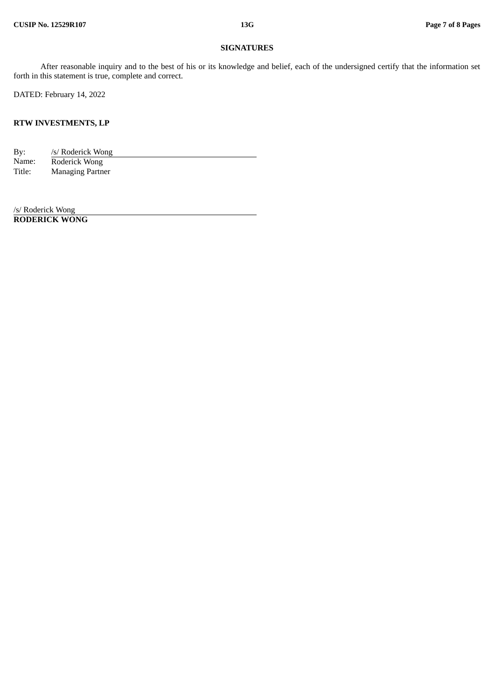# **SIGNATURES**

After reasonable inquiry and to the best of his or its knowledge and belief, each of the undersigned certify that the information set forth in this statement is true, complete and correct.

DATED: February 14, 2022

# **RTW INVESTMENTS, LP**

| By:    | /s/ Roderick Wong       |
|--------|-------------------------|
| Name:  | Roderick Wong           |
| Title: | <b>Managing Partner</b> |

/s/ Roderick Wong **RODERICK WONG**